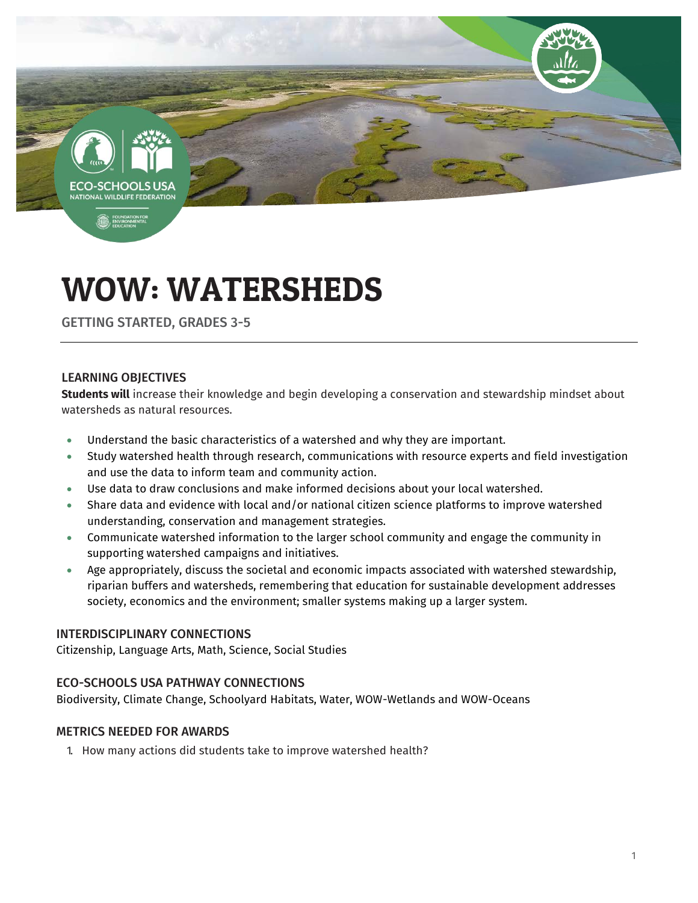-SCHOOLS **TIONAL WILDLIFE FEDERAT** 

**B** FOUND

# WOW: WATERSHEDS

GETTING STARTED, GRADES 3-5

# LEARNING OBJECTIVES

**Students will** increase their knowledge and begin developing a conservation and stewardship mindset about watersheds as natural resources.

- Understand the basic characteristics of a watershed and why they are important.
- Study watershed health through research, communications with resource experts and field investigation and use the data to inform team and community action.
- Use data to draw conclusions and make informed decisions about your local watershed.
- Share data and evidence with local and/or national citizen science platforms to improve watershed understanding, conservation and management strategies.
- Communicate watershed information to the larger school community and engage the community in supporting watershed campaigns and initiatives.
- Age appropriately, discuss the societal and economic impacts associated with watershed stewardship, riparian buffers and watersheds, remembering that education for sustainable development addresses society, economics and the environment; smaller systems making up a larger system.

#### INTERDISCIPLINARY CONNECTIONS

Citizenship, Language Arts, Math, Science, Social Studies

# ECO-SCHOOLS USA PATHWAY CONNECTIONS

Biodiversity, Climate Change, Schoolyard Habitats, Water, WOW-Wetlands and WOW-Oceans

#### METRICS NEEDED FOR AWARDS

1. How many actions did students take to improve watershed health?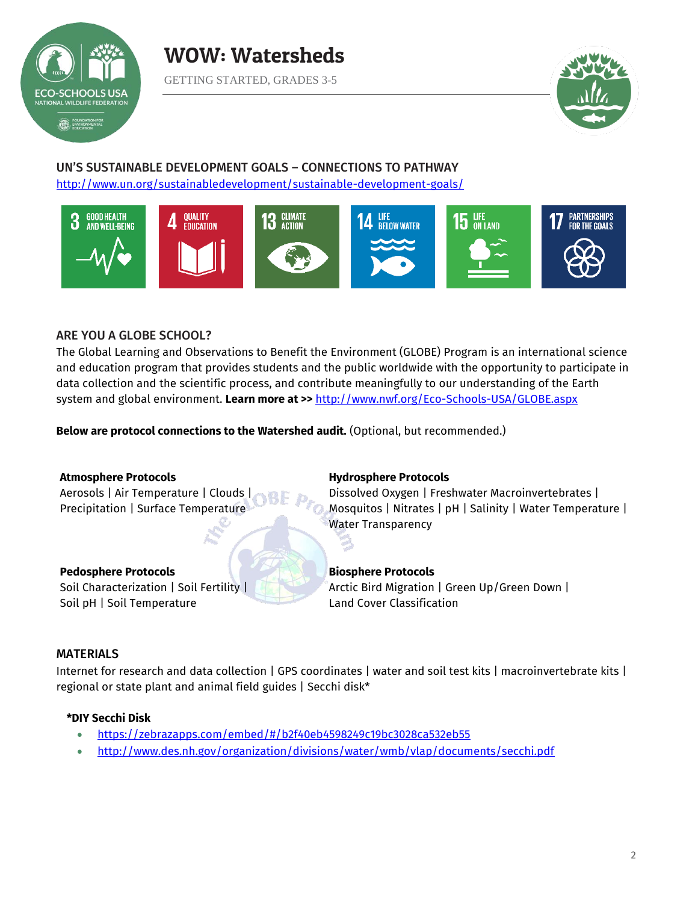



#### UN'S SUSTAINABLE DEVELOPMENT GOALS – CONNECTIONS TO PATHWAY <http://www.un.org/sustainabledevelopment/sustainable-development-goals/>



# ARE YOU A GLOBE SCHOOL?

The Global Learning and Observations to Benefit the Environment (GLOBE) Program is an international science and education program that provides students and the public worldwide with the opportunity to participate in data collection and the scientific process, and contribute meaningfully to our understanding of the Earth system and global environment. **Learn more at >>** <http://www.nwf.org/Eco-Schools-USA/GLOBE.aspx>

**Below are protocol connections to the Watershed audit.** (Optional, but recommended.)

#### **Atmosphere Protocols**

Aerosols | Air Temperature | Clouds | Precipitation | Surface Temperature

#### **Pedosphere Protocols**

Soil Characterization | Soil Fertility | Soil pH | Soil Temperature

#### **Hydrosphere Protocols**

Dissolved Oxygen | Freshwater Macroinvertebrates | Mosquitos | Nitrates | pH | Salinity | Water Temperature | Water Transparency

# **Biosphere Protocols**

Arctic Bird Migration | Green Up/Green Down | Land Cover Classification

# MATERIALS

Internet for research and data collection | GPS coordinates | water and soil test kits | macroinvertebrate kits | regional or state plant and animal field guides | Secchi disk\*

# **\*DIY Secchi Disk**

- <https://zebrazapps.com/embed/#/b2f40eb4598249c19bc3028ca532eb55>
- <http://www.des.nh.gov/organization/divisions/water/wmb/vlap/documents/secchi.pdf>